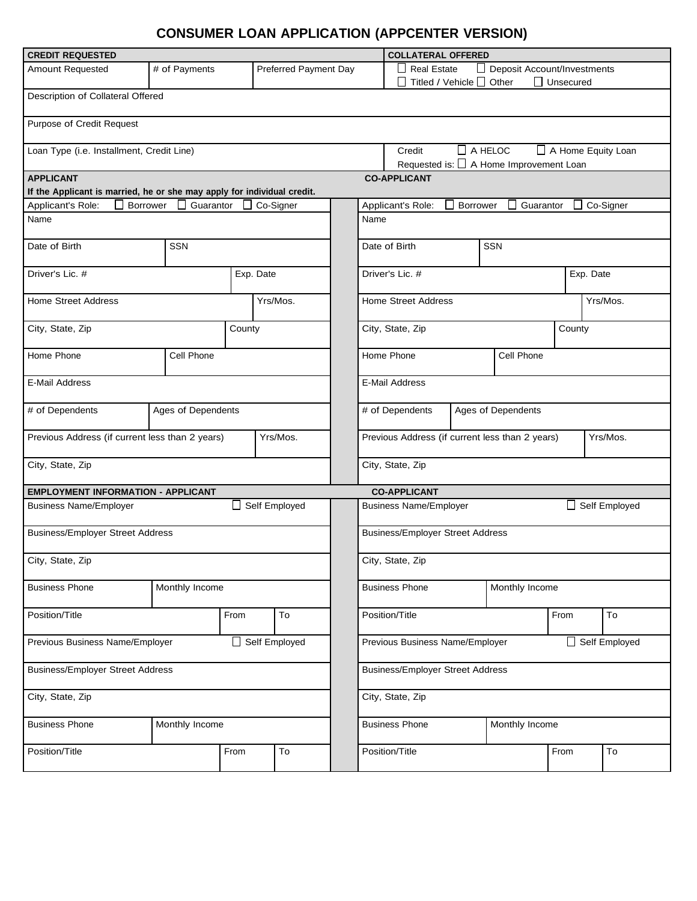## **CONSUMER LOAN APPLICATION (APPCENTER VERSION)**

| <b>CREDIT REQUESTED</b>                                                 |                | <b>COLLATERAL OFFERED</b>                      |                                                                                                  |                                                         |                                                                                                               |           |      |               |  |  |  |
|-------------------------------------------------------------------------|----------------|------------------------------------------------|--------------------------------------------------------------------------------------------------|---------------------------------------------------------|---------------------------------------------------------------------------------------------------------------|-----------|------|---------------|--|--|--|
| <b>Amount Requested</b>                                                 | # of Payments  |                                                | Preferred Payment Day                                                                            |                                                         | <b>Real Estate</b><br><b>Deposit Account/Investments</b><br>Titled / Vehicle $\Box$ Other<br>$\Box$ Unsecured |           |      |               |  |  |  |
| Description of Collateral Offered                                       |                |                                                |                                                                                                  |                                                         |                                                                                                               |           |      |               |  |  |  |
| Purpose of Credit Request                                               |                |                                                |                                                                                                  |                                                         |                                                                                                               |           |      |               |  |  |  |
| Loan Type (i.e. Installment, Credit Line)                               |                |                                                | $\Box$ A HELOC<br>$\Box$ A Home Equity Loan<br>Credit<br>Requested is: □ A Home Improvement Loan |                                                         |                                                                                                               |           |      |               |  |  |  |
| <b>APPLICANT</b>                                                        |                |                                                |                                                                                                  | <b>CO-APPLICANT</b>                                     |                                                                                                               |           |      |               |  |  |  |
| If the Applicant is married, he or she may apply for individual credit. |                |                                                |                                                                                                  |                                                         |                                                                                                               |           |      |               |  |  |  |
| Applicant's Role:<br>Borrower                                           | Guarantor      |                                                | Co-Signer                                                                                        | Co-Signer<br>Borrower<br>Guarantor<br>Applicant's Role: |                                                                                                               |           |      |               |  |  |  |
| Name                                                                    |                |                                                |                                                                                                  | Name                                                    |                                                                                                               |           |      |               |  |  |  |
| Date of Birth                                                           | <b>SSN</b>     |                                                |                                                                                                  | SSN<br>Date of Birth                                    |                                                                                                               |           |      |               |  |  |  |
| Driver's Lic. #                                                         |                | Exp. Date                                      |                                                                                                  |                                                         | Driver's Lic. #                                                                                               | Exp. Date |      |               |  |  |  |
| <b>Home Street Address</b>                                              |                |                                                | Yrs/Mos.                                                                                         |                                                         | <b>Home Street Address</b>                                                                                    | Yrs/Mos.  |      |               |  |  |  |
| City, State, Zip                                                        |                | County                                         |                                                                                                  |                                                         | City, State, Zip<br>County                                                                                    |           |      |               |  |  |  |
| Home Phone                                                              | Cell Phone     |                                                |                                                                                                  |                                                         | Cell Phone<br>Home Phone                                                                                      |           |      |               |  |  |  |
| E-Mail Address                                                          |                |                                                |                                                                                                  |                                                         | <b>E-Mail Address</b>                                                                                         |           |      |               |  |  |  |
| # of Dependents<br>Ages of Dependents                                   |                |                                                |                                                                                                  | # of Dependents<br>Ages of Dependents                   |                                                                                                               |           |      |               |  |  |  |
| Previous Address (if current less than 2 years)<br>Yrs/Mos.             |                |                                                |                                                                                                  |                                                         | Previous Address (if current less than 2 years)<br>Yrs/Mos.                                                   |           |      |               |  |  |  |
| City, State, Zip                                                        |                |                                                |                                                                                                  |                                                         | City, State, Zip                                                                                              |           |      |               |  |  |  |
| <b>EMPLOYMENT INFORMATION - APPLICANT</b>                               |                |                                                |                                                                                                  |                                                         | <b>CO-APPLICANT</b>                                                                                           |           |      |               |  |  |  |
| <b>Business Name/Employer</b>                                           | Self Employed  | Self Employed<br><b>Business Name/Employer</b> |                                                                                                  |                                                         |                                                                                                               |           |      |               |  |  |  |
| <b>Business/Employer Street Address</b>                                 |                |                                                |                                                                                                  |                                                         | <b>Business/Employer Street Address</b>                                                                       |           |      |               |  |  |  |
| City, State, Zip                                                        |                |                                                |                                                                                                  |                                                         | City, State, Zip                                                                                              |           |      |               |  |  |  |
| <b>Business Phone</b>                                                   | Monthly Income |                                                |                                                                                                  | <b>Business Phone</b><br>Monthly Income                 |                                                                                                               |           |      |               |  |  |  |
| Position/Title                                                          |                | From                                           | To                                                                                               |                                                         | Position/Title                                                                                                |           | From | To            |  |  |  |
| Previous Business Name/Employer                                         |                | Self Employed                                  |                                                                                                  |                                                         | Previous Business Name/Employer                                                                               |           |      | Self Employed |  |  |  |
| <b>Business/Employer Street Address</b>                                 |                |                                                |                                                                                                  |                                                         | <b>Business/Employer Street Address</b>                                                                       |           |      |               |  |  |  |
| City, State, Zip                                                        |                |                                                |                                                                                                  | City, State, Zip                                        |                                                                                                               |           |      |               |  |  |  |
| <b>Business Phone</b>                                                   | Monthly Income |                                                |                                                                                                  |                                                         | <b>Business Phone</b><br>Monthly Income                                                                       |           |      |               |  |  |  |
| Position/Title                                                          |                | From                                           | To                                                                                               |                                                         | Position/Title                                                                                                |           | From | To            |  |  |  |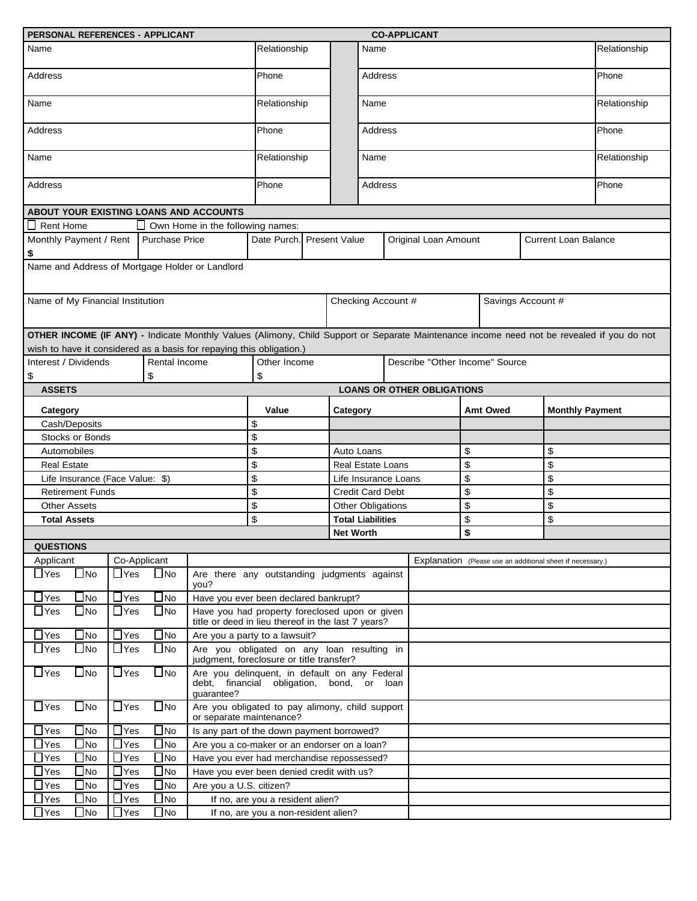| PERSONAL REFERENCES - APPLICANT                                                                                                                                                                                   |                       |                   |                                                                                                          |                                                                                                      |                           |                  |          |    | <b>CO-APPLICANT</b>                                 |                                                            |       |                        |  |  |
|-------------------------------------------------------------------------------------------------------------------------------------------------------------------------------------------------------------------|-----------------------|-------------------|----------------------------------------------------------------------------------------------------------|------------------------------------------------------------------------------------------------------|---------------------------|------------------|----------|----|-----------------------------------------------------|------------------------------------------------------------|-------|------------------------|--|--|
| Name                                                                                                                                                                                                              |                       |                   |                                                                                                          | Relationship                                                                                         |                           | Name             |          |    |                                                     |                                                            |       | Relationship           |  |  |
| <b>Address</b>                                                                                                                                                                                                    |                       |                   | Phone                                                                                                    |                                                                                                      |                           | Address          |          |    |                                                     |                                                            |       | Phone                  |  |  |
| Name                                                                                                                                                                                                              |                       |                   | Relationship                                                                                             |                                                                                                      |                           | Name             |          |    |                                                     |                                                            |       | Relationship           |  |  |
| Address                                                                                                                                                                                                           |                       |                   |                                                                                                          | Phone                                                                                                |                           |                  | Address  |    |                                                     |                                                            |       | Phone                  |  |  |
| Name                                                                                                                                                                                                              |                       |                   |                                                                                                          | Relationship                                                                                         |                           |                  | Name     |    |                                                     |                                                            |       | Relationship           |  |  |
| Address                                                                                                                                                                                                           |                       |                   | Phone                                                                                                    |                                                                                                      |                           | Address          |          |    |                                                     |                                                            | Phone |                        |  |  |
| ABOUT YOUR EXISTING LOANS AND ACCOUNTS                                                                                                                                                                            |                       |                   |                                                                                                          |                                                                                                      |                           |                  |          |    |                                                     |                                                            |       |                        |  |  |
| <b>Rent Home</b>                                                                                                                                                                                                  |                       |                   | Own Home in the following names:                                                                         |                                                                                                      |                           |                  |          |    |                                                     |                                                            |       |                        |  |  |
|                                                                                                                                                                                                                   |                       |                   |                                                                                                          |                                                                                                      |                           |                  |          |    |                                                     |                                                            |       |                        |  |  |
| Monthly Payment / Rent   Purchase Price<br>\$                                                                                                                                                                     |                       |                   |                                                                                                          |                                                                                                      | Date Purch. Present Value |                  |          |    | Original Loan Amount<br><b>Current Loan Balance</b> |                                                            |       |                        |  |  |
| Name and Address of Mortgage Holder or Landlord                                                                                                                                                                   |                       |                   |                                                                                                          |                                                                                                      |                           |                  |          |    |                                                     |                                                            |       |                        |  |  |
| Name of My Financial Institution                                                                                                                                                                                  |                       |                   |                                                                                                          |                                                                                                      | Checking Account #        |                  |          |    | Savings Account #                                   |                                                            |       |                        |  |  |
|                                                                                                                                                                                                                   |                       |                   |                                                                                                          |                                                                                                      |                           |                  |          |    |                                                     |                                                            |       |                        |  |  |
| OTHER INCOME (IF ANY) - Indicate Monthly Values (Alimony, Child Support or Separate Maintenance income need not be revealed if you do not<br>wish to have it considered as a basis for repaying this obligation.) |                       |                   |                                                                                                          |                                                                                                      |                           |                  |          |    |                                                     |                                                            |       |                        |  |  |
| Interest / Dividends<br>Rental Income<br>\$<br>\$                                                                                                                                                                 |                       |                   |                                                                                                          | \$                                                                                                   | Other Income              |                  |          |    | Describe "Other Income" Source                      |                                                            |       |                        |  |  |
| <b>ASSETS</b>                                                                                                                                                                                                     |                       |                   |                                                                                                          |                                                                                                      |                           |                  |          |    | <b>LOANS OR OTHER OBLIGATIONS</b>                   |                                                            |       |                        |  |  |
| Category                                                                                                                                                                                                          |                       |                   |                                                                                                          | Value                                                                                                |                           | Category         |          |    |                                                     | <b>Amt Owed</b>                                            |       | <b>Monthly Payment</b> |  |  |
| Cash/Deposits                                                                                                                                                                                                     |                       |                   |                                                                                                          | \$                                                                                                   |                           |                  |          |    |                                                     |                                                            |       |                        |  |  |
| <b>Stocks or Bonds</b>                                                                                                                                                                                            |                       |                   |                                                                                                          | \$                                                                                                   |                           |                  |          |    |                                                     |                                                            |       |                        |  |  |
| Automobiles                                                                                                                                                                                                       |                       |                   |                                                                                                          | \$<br>Auto Loans                                                                                     |                           |                  | \$<br>\$ |    |                                                     |                                                            |       |                        |  |  |
| <b>Real Estate</b>                                                                                                                                                                                                |                       |                   |                                                                                                          | \$<br><b>Real Estate Loans</b>                                                                       |                           |                  |          | \$ |                                                     |                                                            | \$    |                        |  |  |
| Life Insurance (Face Value: \$)                                                                                                                                                                                   |                       |                   |                                                                                                          | \$<br>Life Insurance Loans                                                                           |                           |                  |          | \$ |                                                     |                                                            | \$    |                        |  |  |
| <b>Retirement Funds</b>                                                                                                                                                                                           |                       |                   |                                                                                                          | \$<br><b>Credit Card Debt</b>                                                                        |                           |                  |          | \$ |                                                     |                                                            | \$    |                        |  |  |
| <b>Other Assets</b>                                                                                                                                                                                               |                       |                   | \$                                                                                                       | Other Obligations                                                                                    |                           |                  | \$       |    | \$                                                  |                                                            |       |                        |  |  |
| <b>Total Assets</b>                                                                                                                                                                                               |                       |                   | \$<br><b>Total Liabilities</b>                                                                           |                                                                                                      |                           | \$               |          | \$ |                                                     |                                                            |       |                        |  |  |
|                                                                                                                                                                                                                   |                       |                   |                                                                                                          |                                                                                                      |                           | <b>Net Worth</b> |          |    |                                                     | \$                                                         |       |                        |  |  |
| <b>QUESTIONS</b>                                                                                                                                                                                                  |                       |                   |                                                                                                          |                                                                                                      |                           |                  |          |    |                                                     |                                                            |       |                        |  |  |
| Applicant                                                                                                                                                                                                         |                       | Co-Applicant      |                                                                                                          |                                                                                                      |                           |                  |          |    |                                                     | Explanation (Please use an additional sheet if necessary.) |       |                        |  |  |
| $\Box$ Yes<br>$\square$ No                                                                                                                                                                                        | $\Box$ Yes            | $\square$ No      | you?                                                                                                     | Are there any outstanding judgments against                                                          |                           |                  |          |    |                                                     |                                                            |       |                        |  |  |
| $\Box$ Yes<br>$\blacksquare$ No                                                                                                                                                                                   | $\Box$ Yes            | $\square$ No      | Have you ever been declared bankrupt?                                                                    |                                                                                                      |                           |                  |          |    |                                                     |                                                            |       |                        |  |  |
| $\Box$ Yes<br>$\Box$ No                                                                                                                                                                                           | $\Box$ Yes            | $\bigsqcup$ No    |                                                                                                          | Have you had property foreclosed upon or given<br>title or deed in lieu thereof in the last 7 years? |                           |                  |          |    |                                                     |                                                            |       |                        |  |  |
| $\Box$ Yes<br>$\Box$ No                                                                                                                                                                                           | $\Box$ Yes            | $\Box$ No         |                                                                                                          | Are you a party to a lawsuit?                                                                        |                           |                  |          |    |                                                     |                                                            |       |                        |  |  |
| $\Box$ Yes<br>$\Box$ No                                                                                                                                                                                           | $\Box$ Yes            | $\Box$ No         | Are you obligated on any loan resulting in<br>judgment, foreclosure or title transfer?                   |                                                                                                      |                           |                  |          |    |                                                     |                                                            |       |                        |  |  |
| $\Box$ Yes<br>$\bigsqcup$ No                                                                                                                                                                                      | $\Box$ Yes            | $\square$ No      | Are you delinquent, in default on any Federal<br>debt, financial obligation, bond, or loan<br>guarantee? |                                                                                                      |                           |                  |          |    |                                                     |                                                            |       |                        |  |  |
| $\Box$ Yes<br>$\blacksquare$ No                                                                                                                                                                                   | $\Box$ Yes            | $\Box$ No         | Are you obligated to pay alimony, child support<br>or separate maintenance?                              |                                                                                                      |                           |                  |          |    |                                                     |                                                            |       |                        |  |  |
| $\mathsf{\rceil}$ Yes<br>$\Box$ No                                                                                                                                                                                | $\Box$ Yes            | $\Box$ No         | Is any part of the down payment borrowed?                                                                |                                                                                                      |                           |                  |          |    |                                                     |                                                            |       |                        |  |  |
| $\mathsf{\rceil}$ Yes<br>$\Box$ No                                                                                                                                                                                | $\Box$ Yes            | $\bigsqcup$ No    | Are you a co-maker or an endorser on a loan?                                                             |                                                                                                      |                           |                  |          |    |                                                     |                                                            |       |                        |  |  |
| $\mathsf{\rceil}$ Yes<br>$\Box$ No                                                                                                                                                                                | $\overline{\Box}$ Yes | $\blacksquare$ No | Have you ever had merchandise repossessed?                                                               |                                                                                                      |                           |                  |          |    |                                                     |                                                            |       |                        |  |  |
| $\mathsf{\rceil}$ Yes<br>$\Box$ No                                                                                                                                                                                | $\Box$ Yes            | $\bigsqcup$ No    | Have you ever been denied credit with us?                                                                |                                                                                                      |                           |                  |          |    |                                                     |                                                            |       |                        |  |  |
| $\mathsf{\rceil}$ Yes<br>$\Box$ No                                                                                                                                                                                | $\Box$ Yes            | $\square$ No      | Are you a U.S. citizen?                                                                                  |                                                                                                      |                           |                  |          |    |                                                     |                                                            |       |                        |  |  |
| $\mathsf{\neg}$ Yes<br>N <sub>0</sub>                                                                                                                                                                             | $\Box$ Yes            | $\square$ No      | If no, are you a resident alien?                                                                         |                                                                                                      |                           |                  |          |    |                                                     |                                                            |       |                        |  |  |
| $\mathsf{\rpreceq}$ Yes<br>N <sub>o</sub>                                                                                                                                                                         | $\Box$ Yes            | $\blacksquare$ No | If no, are you a non-resident alien?                                                                     |                                                                                                      |                           |                  |          |    |                                                     |                                                            |       |                        |  |  |